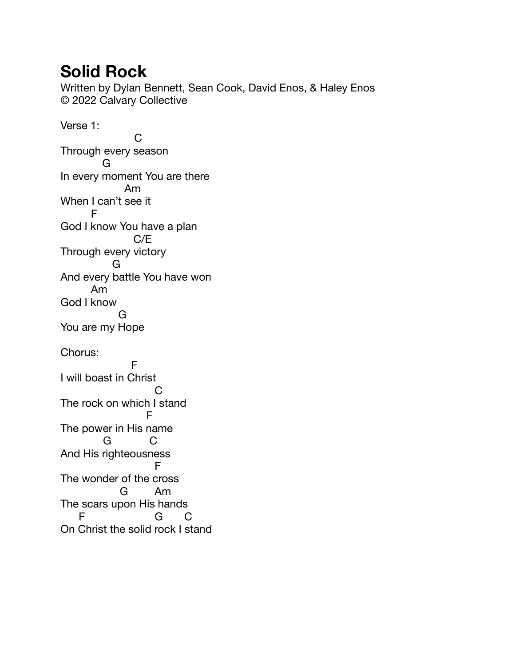## **Solid Rock**

Written by Dylan Bennett, Sean Cook, David Enos, & Haley Enos © 2022 Calvary Collective

Verse 1: **C** Through every season G In every moment You are there Am When I can't see it F God I know You have a plan C/E Through every victory G And every battle You have won Am God I know G You are my Hope Chorus: Fig. 1. Sept. 1. F I will boast in Christ **C** and the contract of the contract of the contract of the contract of the contract of the contract of the contract of the contract of the contract of the contract of the contract of the contract of the contract of the co The rock on which I stand Fig. 1. The Fig. 1. The Fig. The power in His name G C And His righteousness Fig. 1999. The Fig. 1999 Fig. The wonder of the cross G Am The scars upon His hands F G C On Christ the solid rock I stand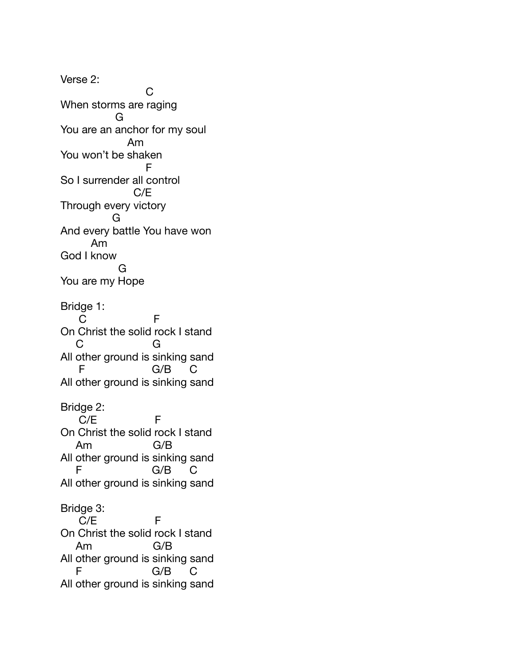Verse 2: **C** C C C C When storms are raging G You are an anchor for my soul Am You won't be shaken For the state of F So I surrender all control C/E Through every victory G And every battle You have won Am God I know G You are my Hope Bridge 1: C F On Christ the solid rock I stand C G All other ground is sinking sand F G/B C All other ground is sinking sand Bridge 2:  $C/E$  F On Christ the solid rock I stand Am G/B All other ground is sinking sand F G/B C All other ground is sinking sand Bridge 3: C/E F On Christ the solid rock I stand Am G/B All other ground is sinking sand F G/B C All other ground is sinking sand